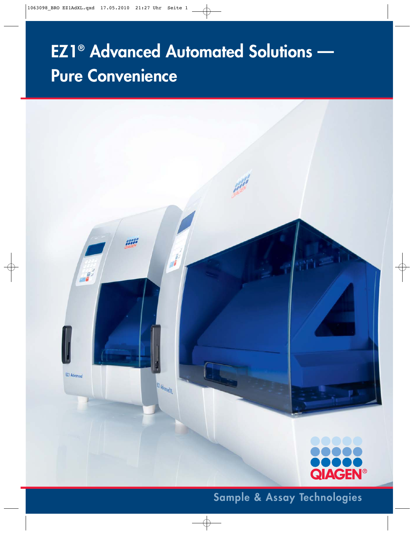# **EZ1® Advanced Automated Solutions — Pure Convenience**



**Sample & Assay Technologies**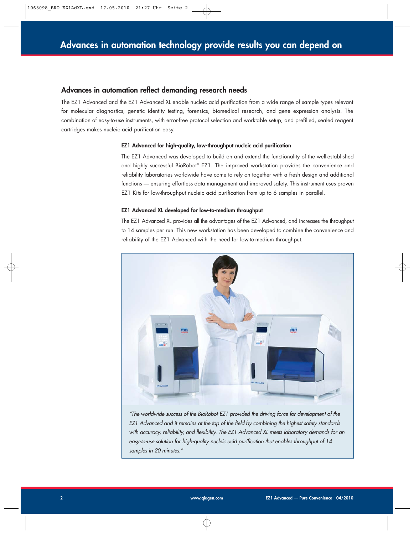#### **Advances in automation reflect demanding research needs**

The EZ1 Advanced and the EZ1 Advanced XL enable nucleic acid purification from a wide range of sample types relevant for molecular diagnostics, genetic identity testing, forensics, biomedical research, and gene expression analysis. The combination of easy-to-use instruments, with error-free protocol selection and worktable setup, and prefilled, sealed reagent cartridges makes nucleic acid purification easy.

#### **EZ1 Advanced for high-quality, low-throughput nucleic acid purification**

The EZ1 Advanced was developed to build on and extend the functionality of the well-established and highly successful BioRobot® EZ1. The improved workstation provides the convenience and reliability laboratories worldwide have come to rely on together with a fresh design and additional functions — ensuring effortless data management and improved safety. This instrument uses proven EZ1 Kits for low-throughput nucleic acid purification from up to 6 samples in parallel.

#### **EZ1 Advanced XL developed for low-to-medium throughput**

The EZ1 Advanced XL provides all the advantages of the EZ1 Advanced, and increases the throughput to 14 samples per run. This new workstation has been developed to combine the convenience and reliability of the EZ1 Advanced with the need for low-to-medium throughput.



"The worldwide success of the BioRobot EZ1 provided the driving force for development of the EZ1 Advanced and it remains at the top of the field by combining the highest safety standards with accuracy, reliability, and flexibility. The EZ1 Advanced XL meets laboratory demands for an easy-to-use solution for high-quality nucleic acid purification that enables throughput of 14 samples in 20 minutes."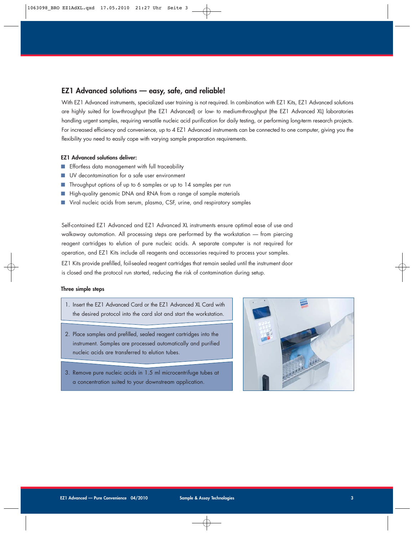## **EZ1 Advanced solutions — easy, safe, and reliable!**

With EZ1 Advanced instruments, specialized user training is not required. In combination with EZ1 Kits, EZ1 Advanced solutions are highly suited for low-throughput (the EZ1 Advanced) or low- to medium-throughput (the EZ1 Advanced XL) laboratories handling urgent samples, requiring versatile nucleic acid purification for daily testing, or performing long-term research projects. For increased efficiency and convenience, up to 4 EZ1 Advanced instruments can be connected to one computer, giving you the flexibility you need to easily cope with varying sample preparation requirements.

#### **EZ1 Advanced solutions deliver:**

- Effortless data management with full traceability
- UV decontamination for a safe user environment
- Throughput options of up to 6 samples or up to 14 samples per run
- High-quality genomic DNA and RNA from a range of sample materials
- Viral nucleic acids from serum, plasma, CSF, urine, and respiratory samples

Self-contained EZ1 Advanced and EZ1 Advanced XL instruments ensure optimal ease of use and walkaway automation. All processing steps are performed by the workstation — from piercing reagent cartridges to elution of pure nucleic acids. A separate computer is not required for operation, and EZ1 Kits include all reagents and accessories required to process your samples.

EZ1 Kits provide prefilled, foil-sealed reagent cartridges that remain sealed until the instrument door is closed and the protocol run started, reducing the risk of contamination during setup.

#### **Three simple steps**

- 1. Insert the EZ1 Advanced Card or the EZ1 Advanced XL Card with the desired protocol into the card slot and start the workstation.
- 2. Place samples and prefilled, sealed reagent cartridges into the instrument. Samples are processed automatically and purified nucleic acids are transferred to elution tubes.
- 3. Remove pure nucleic acids in 1.5 ml microcentrifuge tubes at a concentration suited to your downstream application.

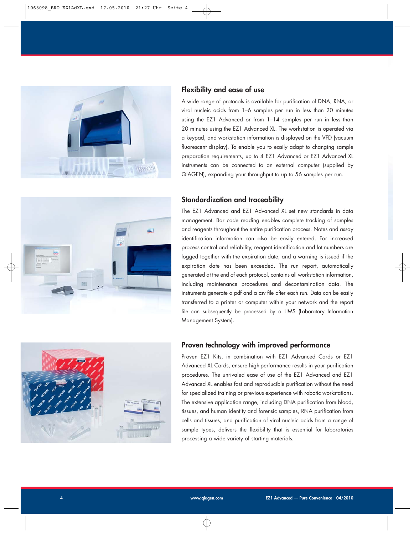

## **Flexibility and ease of use**

A wide range of protocols is available for purification of DNA, RNA, or viral nucleic acids from 1–6 samples per run in less than 20 minutes using the EZ1 Advanced or from 1–14 samples per run in less than 20 minutes using the EZ1 Advanced XL. The workstation is operated via a keypad, and workstation information is displayed on the VFD (vacuum fluorescent display). To enable you to easily adapt to changing sample preparation requirements, up to 4 EZ1 Advanced or EZ1 Advanced XL instruments can be connected to an external computer (supplied by QIAGEN), expanding your throughput to up to 56 samples per run.

## **Standardization and traceability**

The EZ1 Advanced and EZ1 Advanced XL set new standards in data management. Bar code reading enables complete tracking of samples and reagents throughout the entire purification process. Notes and assay identification information can also be easily entered. For increased process control and reliability, reagent identification and lot numbers are logged together with the expiration date, and a warning is issued if the expiration date has been exceeded. The run report, automatically generated at the end of each protocol, contains all workstation information, including maintenance procedures and decontamination data. The instruments generate a pdf and a csv file after each run. Data can be easily transferred to a printer or computer within your network and the report file can subsequently be processed by a LIMS (Laboratory Information Management System).





## **Proven technology with improved performance**

Proven EZ1 Kits, in combination with EZ1 Advanced Cards or EZ1 Advanced XL Cards, ensure high-performance results in your purification procedures. The unrivaled ease of use of the EZ1 Advanced and EZ1 Advanced XL enables fast and reproducible purification without the need for specialized training or previous experience with robotic workstations. The extensive application range, including DNA purification from blood, tissues, and human identity and forensic samples, RNA purification from cells and tissues, and purification of viral nucleic acids from a range of sample types, delivers the flexibility that is essential for laboratories processing a wide variety of starting materials.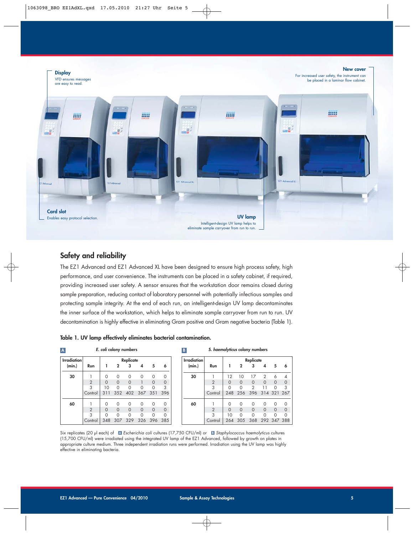

## **Safety and reliability**

The EZ1 Advanced and EZ1 Advanced XL have been designed to ensure high process safety, high performance, and user convenience. The instruments can be placed in a safety cabinet, if required, providing increased user safety. A sensor ensures that the workstation door remains closed during sample preparation, reducing contact of laboratory personnel with potentially infectious samples and protecting sample integrity. At the end of each run, an intelligent-design UV lamp decontaminates the inner surface of the workstation, which helps to eliminate sample carryover from run to run. UV decontamination is highly effective in eliminating Gram positive and Gram negative bacteria (Table 1).

| Table 1. UV lamp effectively eliminates bacterial contamination. |  |
|------------------------------------------------------------------|--|
|------------------------------------------------------------------|--|

| A                  |                | E. coli colony numbers |          |          |          |          |          |
|--------------------|----------------|------------------------|----------|----------|----------|----------|----------|
| <b>Irradiation</b> |                | Replicate              |          |          |          |          |          |
| (min.)             | Run            |                        | 2        | 3        | 4        | 5        | 6        |
| 30                 |                | Ω                      | $\Omega$ | $\Omega$ | 0        | Ω        | 0        |
|                    | $\overline{2}$ | $\Omega$               | $\Omega$ | $\Omega$ |          | $\Omega$ | $\circ$  |
|                    | 3              | 10                     | $\Omega$ | $\Omega$ | ∩        | ∩        | 3        |
|                    | Control        | 311                    | 352      |          | 402 367  | 351      | 396      |
| 60                 |                | Ω                      | $\Omega$ | $\Omega$ | 0        | Ω        | 0        |
|                    | $\overline{2}$ | $\Omega$               | $\Omega$ | $\Omega$ | $\Omega$ | $\Omega$ | $\Omega$ |
|                    | 3              | ∩                      | $\Omega$ | $\Omega$ | ∩        | Ω        | $\Omega$ |
|                    | Control        | 348                    | 307      | 329      | 326      | 396      | 385      |

#### **S. haemolyticus colony numbers**

|                | Replicate |              |                |                |          |                                |
|----------------|-----------|--------------|----------------|----------------|----------|--------------------------------|
| Run            |           | $\mathbf{2}$ | 3              | 4              | 5        | 6                              |
|                | 12        | 10           | 17             | $\overline{2}$ | 6        | 4                              |
| $\overline{2}$ | $\Omega$  | $\Omega$     | $\Omega$       | $\Omega$       | $\Omega$ | $\mathbf 0$                    |
| 3              | ∩         | ∩            | $\overline{2}$ |                | ∩        | 3                              |
| Control        | 248       | 256          |                |                |          |                                |
|                | ∩         |              | ∩              | ∩              | ∩        | 0                              |
| $\overline{2}$ | $\Omega$  | $\Omega$     | $\Omega$       | $\Omega$       | $\Omega$ | 0                              |
| 3              | 10        | ∩            | ∩              |                | Ω        | 0                              |
| Control        | 264       | 305          | 368            |                |          |                                |
|                |           |              |                |                |          | 396 314 321 267<br>292 347 388 |

Six replicates (20 µl each) of A Escherichia coli cultures (17,750 CFU/ml) or B Staphylococcus haemolyticus cultures (15,700 CFU/ml) were irradiated using the integrated UV lamp of the EZ1 Advanced, followed by growth on plates in appropriate culture medium. Three independent irradiation runs were performed. Irradiation using the UV lamp was highly effective in eliminating bacteria.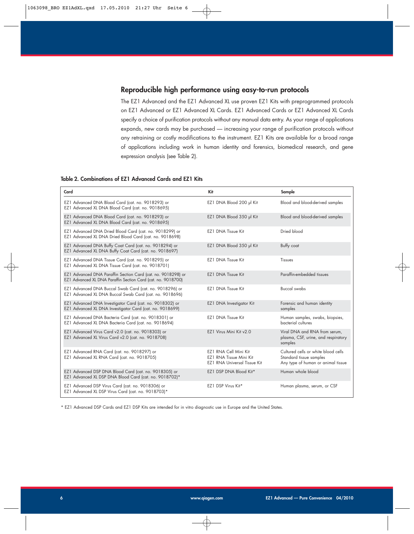## **Reproducible high performance using easy-to-run protocols**

The EZ1 Advanced and the EZ1 Advanced XL use proven EZ1 Kits with preprogrammed protocols on EZ1 Advanced or EZ1 Advanced XL Cards. EZ1 Advanced Cards or EZ1 Advanced XL Cards specify a choice of purification protocols without any manual data entry. As your range of applications expands, new cards may be purchased — increasing your range of purification protocols without any retraining or costly modifications to the instrument. EZ1 Kits are available for a broad range of applications including work in human identity and forensics, biomedical research, and gene expression analysis (see Table 2).

#### **Table 2. Combinations of EZ1 Advanced Cards and EZ1 Kits**

| Card                                                                                                                         | Kit                                                                                     | Sample                                                                                               |
|------------------------------------------------------------------------------------------------------------------------------|-----------------------------------------------------------------------------------------|------------------------------------------------------------------------------------------------------|
| EZ1 Advanced DNA Blood Card (cat. no. 9018293) or<br>EZ1 Advanced XL DNA Blood Card (cat. no. 9018695)                       | EZ1 DNA Blood 200 µl Kit                                                                | Blood and blood-derived samples                                                                      |
| EZ1 Advanced DNA Blood Card (cat. no. 9018293) or<br>EZ1 Advanced XL DNA Blood Card (cat. no. 9018695)                       | EZ1 DNA Blood 350 µl Kit                                                                | Blood and blood-derived samples                                                                      |
| EZ1 Advanced DNA Dried Blood Card (cat. no. 9018299) or<br>EZ1 Advanced XL DNA Dried Blood Card (cat. no. 9018698)           | <b>EZ1 DNA Tissue Kit</b>                                                               | Dried blood                                                                                          |
| EZ1 Advanced DNA Buffy Coat Card (cat. no. 9018294) or<br>EZ1 Advanced XL DNA Buffy Coat Card (cat. no. 9018697)             | EZ1 DNA Blood 350 µl Kit                                                                | Buffy coat                                                                                           |
| EZ1 Advanced DNA Tissue Card (cat. no. 9018295) or<br>EZ1 Advanced XL DNA Tissue Card (cat. no. 9018701)                     | <b>EZ1 DNA Tissue Kit</b>                                                               | <b>Tissues</b>                                                                                       |
| EZ1 Advanced DNA Paraffin Section Card (cat. no. 9018298) or<br>EZ1 Advanced XL DNA Paraffin Section Card (cat. no. 9018700) | <b>EZ1 DNA Tissue Kit</b>                                                               | Paraffin-embedded tissues                                                                            |
| EZ1 Advanced DNA Buccal Swab Card (cat. no. 9018296) or<br>EZ1 Advanced XL DNA Buccal Swab Card (cat. no. 9018696)           | <b>EZ1 DNA Tissue Kit</b>                                                               | <b>Buccal swabs</b>                                                                                  |
| EZ1 Advanced DNA Investigator Card (cat. no. 9018302) or<br>EZ1 Advanced XL DNA Investigator Card (cat. no. 9018699)         | EZ1 DNA Investigator Kit                                                                | Forensic and human identity<br>samples                                                               |
| EZ1 Advanced DNA Bacteria Card (cat. no. 9018301) or<br>EZ1 Advanced XL DNA Bacteria Card (cat. no. 9018694)                 | <b>EZ1 DNA Tissue Kit</b>                                                               | Human samples, swabs, biopsies,<br>bacterial cultures                                                |
| EZ1 Advanced Virus Card v2.0 (cat. no. 9018303) or<br>EZ1 Advanced XL Virus Card v2.0 (cat. no. 9018708)                     | EZ1 Virus Mini Kit v2.0                                                                 | Viral DNA and RNA from serum,<br>plasma, CSF, urine, and respiratory<br>samples                      |
| EZ1 Advanced RNA Card (cat. no. 9018297) or<br>EZ1 Advanced XL RNA Card (cat. no. 9018705)                                   | EZ1 RNA Cell Mini Kit<br>EZ1 RNA Tissue Mini Kit<br><b>EZ1 RNA Universal Tissue Kit</b> | Cultured cells or white blood cells<br>Standard tissue samples<br>Any type of human or animal tissue |
| EZ1 Advanced DSP DNA Blood Card (cat. no. 9018305) or<br>EZ1 Advanced XL DSP DNA Blood Card (cat. no. 9018702)*              | EZ1 DSP DNA Blood Kit*                                                                  | Human whole blood                                                                                    |
| EZ1 Advanced DSP Virus Card (cat. no. 9018306) or<br>EZ1 Advanced XL DSP Virus Card (cat. no. 9018703)*                      | EZ1 DSP Virus Kit*                                                                      | Human plasma, serum, or CSF                                                                          |

\* EZ1 Advanced DSP Cards and EZ1 DSP Kits are intended for in vitro diagnostic use in Europe and the United States.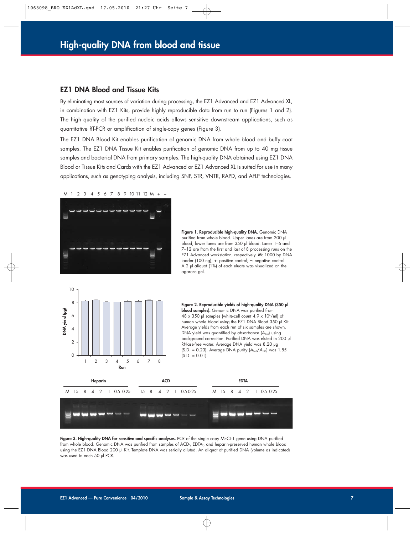### **EZ1 DNA Blood and Tissue Kits**

By eliminating most sources of variation during processing, the EZ1 Advanced and EZ1 Advanced XL, in combination with EZ1 Kits, provide highly reproducible data from run to run (Figures 1 and 2). The high quality of the purified nucleic acids allows sensitive downstream applications, such as quantitative RT-PCR or amplification of single-copy genes (Figure 3).

The EZ1 DNA Blood Kit enables purification of genomic DNA from whole blood and buffy coat samples. The EZ1 DNA Tissue Kit enables purification of genomic DNA from up to 40 mg tissue samples and bacterial DNA from primary samples. The high-quality DNA obtained using EZ1 DNA Blood or Tissue Kits and Cards with the EZ1 Advanced or EZ1 Advanced XL is suited for use in many applications, such as genotyping analysis, including SNP, STR, VNTR, RAPD, and AFLP technologies.





**Figure 1. Reproducible high-quality DNA.** Genomic DNA purified from whole blood. Upper lanes are from 200 µl blood, lower lanes are from 350 µl blood. Lanes 1–6 and 7–12 are from the first and last of 8 processing runs on the EZ1 Advanced workstation, respectively. **M**: 1000 bp DNA ladder (100 ng); **+**: positive control; **–**: negative control. A 2 µl aliquot (1%) of each eluate was visualized on the agarose gel.







**Figure 3. High-quality DNA for sensitive and specific analyses.** PCR of the single copy MECL-1 gene using DNA purified from whole blood. Genomic DNA was purified from samples of ACD-, EDTA-, and heparin-preserved human whole blood using the EZ1 DNA Blood 200 µl Kit. Template DNA was serially diluted. An aliquot of purified DNA (volume as indicated) was used in each 50 µl PCR.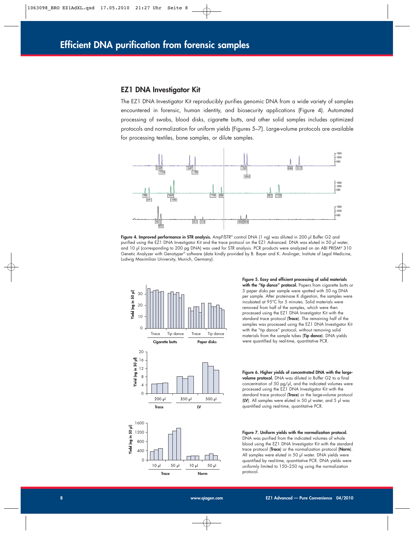#### **EZ1 DNA Investigator Kit**

The EZ1 DNA Investigator Kit reproducibly purifies genomic DNA from a wide variety of samples encountered in forensic, human identity, and biosecurity applications (Figure 4). Automated processing of swabs, blood disks, cigarette butts, and other solid samples includes optimized protocols and normalization for uniform yields (Figures 5–7). Large-volume protocols are available for processing textiles, bone samples, or dilute samples.



**Figure 4. Improved performance in STR analysis.** AmpFlSTR® control DNA (1 ng) was diluted in 200 µl Buffer G2 and purified using the EZ1 DNA Investigator Kit and the trace protocol on the EZ1 Advanced. DNA was eluted in 50 µl water, and 10 µl (corresponding to 200 pg DNA) was used for STR analysis. PCR products were analyzed on an ABI PRISM® 310 Genetic Analyzer with Genotyper® software (data kindly provided by B. Bayer and K. Anslinger, Institute of Legal Medicine, Ludwig Maximilian University, Munich, Germany).



**Trace Norm**

 $10<sub>pl</sub>$ 

 $50 \mu$ 

 $10<sub>µ</sub>$ 

3 paper disks per sample were spotted with 50 ng DNA per sample. After proteinase K digestion, the samples were incubated at 95°C for 5 minutes. Solid materials were removed from half of the samples, which were then processed using the EZ1 DNA Investigator Kit with the standard trace protocol (**Trace**). The remaining half of the samples was processed using the EZ1 DNA Investigator Kit with the "tip dance" protocol, without removing solid materials from the sample tubes (**Tip dance**). DNA yields were quantified by real-time, quantitative PCR.

**Figure 5. Easy and efficient processing of solid materials** with the "tip dance" protocol. Papers from cigarette butts or

**Figure 6. Higher yields of concentrated DNA with the largevolume protocol.** DNA was diluted in Buffer G2 to a final concentration of 50 pg/ $\mu$ , and the indicated volumes were processed using the EZ1 DNA Investigator Kit with the standard trace protocol (**Trace**) or the large-volume protocol (**LV**). All samples were eluted in 50 µl water, and 5 µl was quantified using real-time, quantitative PCR.





800 400  $\Omega$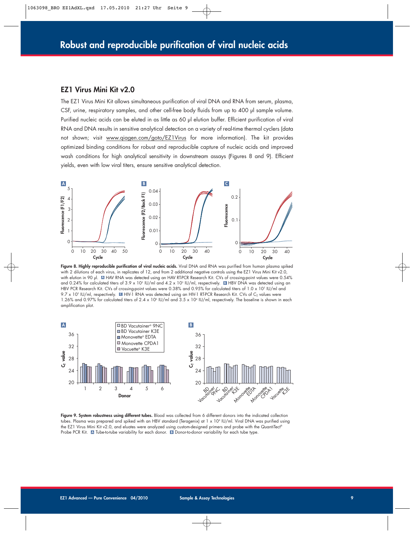#### **EZ1 Virus Mini Kit v2.0**

The EZ1 Virus Mini Kit allows simultaneous purification of viral DNA and RNA from serum, plasma, CSF, urine, respiratory samples, and other cell-free body fluids from up to 400 µl sample volume. Purified nucleic acids can be eluted in as little as 60 µl elution buffer. Efficient purification of viral RNA and DNA results in sensitive analytical detection on a variety of real-time thermal cyclers (data not shown; visit www.qiagen.com/goto/EZ1Virus for more information). The kit provides optimized binding conditions for robust and reproducible capture of nucleic acids and improved wash conditions for high analytical sensitivity in downstream assays (Figures 8 and 9). Efficient yields, even with low viral titers, ensure sensitive analytical detection.



**Figure 8. Highly reproducible purification of viral nucleic acids.** Viral DNA and RNA was purified from human plasma spiked with 2 dilutions of each virus, in replicates of 12, and from 2 additional negative controls using the EZ1 Virus Mini Kit v2.0, with elution in 90 µl. HAV RNA was detected using an HAV RT-PCR Research Kit. CVs of crossing-point values were 0.54% **A** and 0.24% for calculated titers of 3.9 x 10<sup>s</sup> IU/ml and 4.2 x 10<sup>3</sup> IU/ml, respectively. **E** HBV DNA was detected using an HBV PCR Research Kit. CVs of crossing-point values were 0.38% and 0.95% for calculated titers of 1.0 x 10<sup>5</sup> IU/ml and 9.7 x 10<sup>2</sup> IU/ml, respectively. **Id HIV-1 RNA** was detected using an HIV-1 RT-PCR Research Kit. CVs of C<sub>T</sub> values were 1.26% and 0.97% for calculated titers of 2.4 x 10<sup>6</sup> IU/ml and 3.5 x 10<sup>4</sup> IU/ml, respectively. The baseline is shown in each amplification plot.



**Figure 9. System robustness using different tubes.** Blood was collected from 6 different donors into the indicated collection tubes. Plasma was prepared and spiked with an HBV standard (Teragenix) at 1 x 10<sup>4</sup> IU/ml. Viral DNA was purified using the EZ1 Virus Mini Kit v2.0, and eluates were analyzed using custom-designed primers and probe with the QuantiTect® Probe PCR Kit. A Tube-to-tube variability for each donor. **B** Donor-to-donor variability for each tube type.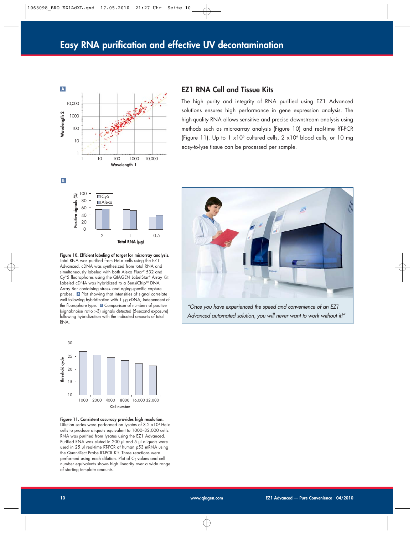

## **EZ1 RNA Cell and Tissue Kits**

The high purity and integrity of RNA purified using EZ1 Advanced solutions ensures high performance in gene expression analysis. The high-quality RNA allows sensitive and precise downstream analysis using methods such as microarray analysis (Figure 10) and real-time RT-PCR (Figure 11). Up to  $1 \times 10^6$  cultured cells,  $2 \times 10^6$  blood cells, or 10 mg easy-to-lyse tissue can be processed per sample.



**Figure 10. Efficient labeling of target for microrray analysis.** Total RNA was purified from HeLa cells using the EZ1 Advanced. cDNA was synthesized from total RNA and simultaneously labeled with both Alexa Fluor® 532 and Cy®5 fluorophores using the QIAGEN LabelStar® Array Kit. Labeled cDNA was hybridized to a SensiChip™ DNA Array Bar containing stress- and aging-specific capture probes. A Plot showing that intensities of signal correlate well following hybridization with 1 µg cDNA, independent of the fluorophore type. **B** Comparison of numbers of positive (signal:noise ratio >3) signals detected (5-second exposure) following hybridization with the indicated amounts of total RNA.



"Once you have experienced the speed and convenience of an EZ1 Advanced automated solution, you will never want to work without it!"



**Figure 11. Consistent accuracy provides high resolution.** Dilution series were performed on lysates of 3.2 x104 HeLa cells to produce aliquots equivalent to 1000–32,000 cells. RNA was purified from lysates using the EZ1 Advanced. Purified RNA was eluted in 200 µl and 5 µl aliquots were used in 25 µl real-time RT-PCR of human p53 mRNA using the QuantiTect Probe RT-PCR Kit. Three reactions were performed using each dilution. Plot of  $C<sub>T</sub>$  values and cell number equivalents shows high linearity over a wide range of starting template amounts.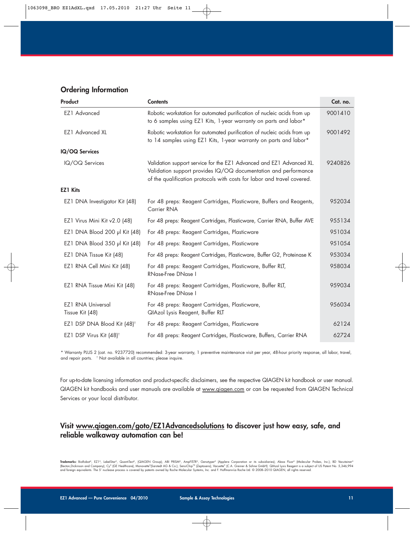## **Ordering Information**

| <b>Product</b>                              | <b>Contents</b>                                                                                                                                                                                                    | Cat. no. |
|---------------------------------------------|--------------------------------------------------------------------------------------------------------------------------------------------------------------------------------------------------------------------|----------|
| EZ1 Advanced                                | Robotic workstation for automated purification of nucleic acids from up<br>to 6 samples using EZ1 Kits, 1-year warranty on parts and labor*                                                                        | 9001410  |
| EZ1 Advanced XL                             | Robotic workstation for automated purification of nucleic acids from up<br>to 14 samples using EZ1 Kits, 1-year warranty on parts and labor*                                                                       | 9001492  |
| IQ/OQ Services                              |                                                                                                                                                                                                                    |          |
| IQ/OQ Services                              | Validation support service for the EZ1 Advanced and EZ1 Advanced XL.<br>Validation support provides IQ/OQ documentation and performance<br>of the qualification protocols with costs for labor and travel covered. | 9240826  |
| <b>EZ1 Kits</b>                             |                                                                                                                                                                                                                    |          |
| EZ1 DNA Investigator Kit (48)               | For 48 preps: Reagent Cartridges, Plasticware, Buffers and Reagents,<br>Carrier RNA                                                                                                                                | 952034   |
| EZ1 Virus Mini Kit v2.0 (48)                | For 48 preps: Reagent Cartridges, Plasticware, Carrier RNA, Buffer AVE                                                                                                                                             | 955134   |
| EZ1 DNA Blood 200 µl Kit (48)               | For 48 preps: Reagent Cartridges, Plasticware                                                                                                                                                                      | 951034   |
| EZ1 DNA Blood 350 µl Kit (48)               | For 48 preps: Reagent Cartridges, Plasticware                                                                                                                                                                      | 951054   |
| EZ1 DNA Tissue Kit (48)                     | For 48 preps: Reagent Cartridges, Plasticware, Buffer G2, Proteinase K                                                                                                                                             | 953034   |
| EZ1 RNA Cell Mini Kit (48)                  | For 48 preps: Reagent Cartridges, Plasticware, Buffer RLT,<br><b>RNase-Free DNase I</b>                                                                                                                            | 958034   |
| EZ1 RNA Tissue Mini Kit (48)                | For 48 preps: Reagent Cartridges, Plasticware, Buffer RLT,<br><b>RNase-Free DNase I</b>                                                                                                                            | 959034   |
| <b>EZ1 RNA Universal</b><br>Tissue Kit (48) | For 48 preps: Reagent Cartridges, Plasticware,<br>QIAzol Lysis Reagent, Buffer RLT                                                                                                                                 | 956034   |
| EZ1 DSP DNA Blood Kit (48) <sup>t</sup>     | For 48 preps: Reagent Cartridges, Plasticware                                                                                                                                                                      | 62124    |
| EZ1 DSP Virus Kit (48) <sup>†</sup>         | For 48 preps: Reagent Cartridges, Plasticware, Buffers, Carrier RNA                                                                                                                                                | 62724    |

\* Warranty PLUS 2 (cat. no. 9237720) recommended: 3-year warranty, 1 preventive maintenance visit per year, 48-hour priority response, all labor, travel, and repair parts. † Not available in all countries; please inquire.

For up-to-date licensing information and product-specific disclaimers, see the respective QIAGEN kit handbook or user manual. QIAGEN kit handbooks and user manuals are available at www.qiagen.com or can be requested from QIAGEN Technical Services or your local distributor.

## **Visit www.qiagen.com/goto/EZ1Advancedsolutions to discover just how easy, safe, and reliable walkaway automation can be!**

Trademarks: BioRobot®, EZ1®, LabelStar®, QuantiTect®, (QIAGEN Group); ABI PRISM®, AmpF/STR®, Genotyper® (Applera Corporation or its subsidiaries); Alexa Fluor® (Molecular Probes, Inc.); BD Vacutainer® (Becton,Dickinson and Company); Cy® (GE Healthcare); Monovette®(Sarstedt AG & Co.); SensiChip™ (Zeptosens); Vacuette® (C.A. Greiner & Söhne GmbH). QIAzol Lysis Reagent is a subject of US Patent No. 5,346,994<br>and foreign eq